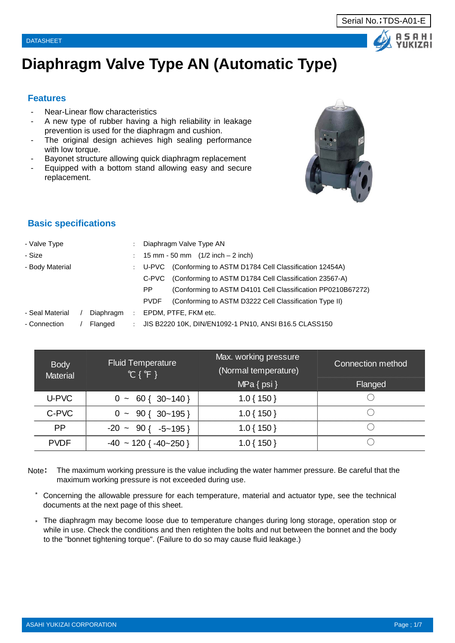# **Diaphragm Valve Type AN (Automatic Type)**

### **Features**

- Near-Linear flow characteristics
- A new type of rubber having a high reliability in leakage prevention is used for the diaphragm and cushion.
- The original design achieves high sealing performance with low torque.
- Bayonet structure allowing quick diaphragm replacement
- Equipped with a bottom stand allowing easy and secure replacement.

# **Basic specifications**

| - Valve Type    |           |               | Diaphragm Valve Type AN                                               |  |
|-----------------|-----------|---------------|-----------------------------------------------------------------------|--|
| - Size          |           |               | 15 mm - 50 mm $(1/2$ inch $-2$ inch)                                  |  |
| - Body Material |           |               | (Conforming to ASTM D1784 Cell Classification 12454A)<br>: U-PVC      |  |
|                 |           |               | (Conforming to ASTM D1784 Cell Classification 23567-A)<br>C-PVC       |  |
|                 |           |               | (Conforming to ASTM D4101 Cell Classification PP0210B67272)<br>PP.    |  |
|                 |           |               | (Conforming to ASTM D3222 Cell Classification Type II)<br><b>PVDF</b> |  |
| - Seal Material | Diaphragm | ÷             | EPDM, PTFE, FKM etc.                                                  |  |
| - Connection    | Flanged   | $\mathcal{L}$ | JIS B2220 10K, DIN/EN1092-1 PN10, ANSI B16.5 CLASS150                 |  |
|                 |           |               |                                                                       |  |

| <b>Body</b><br><b>Material</b> | <b>Fluid Temperature</b><br>${}^{\circ}\mathsf{C} \; \{ \, {}^{\circ}\mathsf{F} \; \}$ | Max. working pressure<br>(Normal temperature) | Connection method |
|--------------------------------|----------------------------------------------------------------------------------------|-----------------------------------------------|-------------------|
|                                |                                                                                        | $MPa \{ psi \}$                               | Flanged           |
| U-PVC                          | $0 \sim 60 \{ 30 \sim 140 \}$                                                          | $1.0\{150\}$                                  |                   |
| C-PVC                          | $0 \sim 90 \{ 30 \sim 195 \}$                                                          | $1.0\{150\}$                                  |                   |
| <b>PP</b>                      | $-20 \sim 90$ { $-5 \sim 195$ }                                                        | $1.0\{150\}$                                  |                   |
| <b>PVDF</b>                    | $-40 \sim 120$ { $-40 \sim 250$ }                                                      | $1.0\{150\}$                                  |                   |

- Note: The maximum working pressure is the value including the water hammer pressure. Be careful that the maximum working pressure is not exceeded during use.
	- \* Concerning the allowable pressure for each temperature, material and actuator type, see the technical documents at the next page of this sheet.
	- \* The diaphragm may become loose due to temperature changes during long storage, operation stop or while in use. Check the conditions and then retighten the bolts and nut between the bonnet and the body to the "bonnet tightening torque". (Failure to do so may cause fluid leakage.)



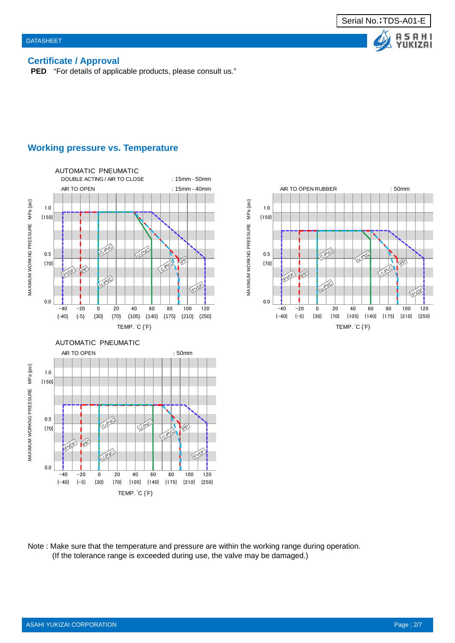**AHI UKIZAI** 

### **Certificate / Approval**

**PED** "For details of applicable products, please consult us."

### **Working pressure vs. Temperature**





Note : Make sure that the temperature and pressure are within the working range during operation. (If the tolerance range is exceeded during use, the valve may be damaged.)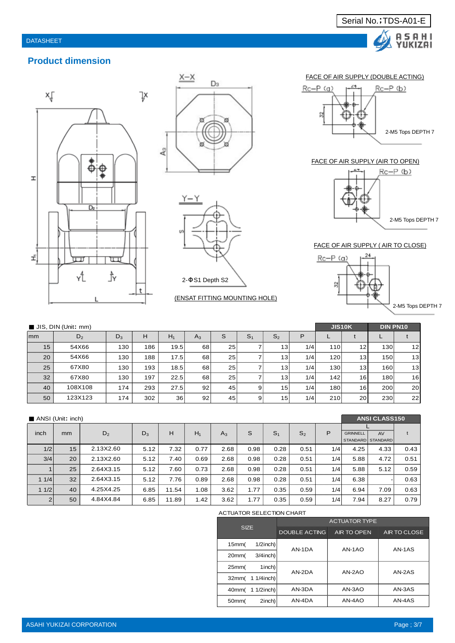







#### (ENSAT FITTING MOUNTING HOLE)

#### FACE OF AIR SUPPLY (DOUBLE ACTING)

Serial No.;TDS-A01-E

A S A H I<br>YUKIZAI



#### FACE OF AIR SUPPLY (AIR TO OPEN)



#### 2-M5 Tops DEPTH 7

#### FACE OF AIR SUPPLY ( AIR TO CLOSE)



|    | $\blacksquare$ JIS, DIN (Unit: mm) |       |     |       |       |    |                |                 |     |     |                 | <b>DIN PN10</b> |                 |
|----|------------------------------------|-------|-----|-------|-------|----|----------------|-----------------|-----|-----|-----------------|-----------------|-----------------|
| mm | D <sub>2</sub>                     | $D_3$ | н   | $H_1$ | $A_3$ |    | S <sub>1</sub> | S <sub>2</sub>  | P   |     |                 |                 |                 |
| 15 | 54X66                              | 130   | 186 | 19.5  | 68    | 25 |                | 13 <sub>1</sub> | 1/4 | 110 | 12              | 130             | 12 <sub>l</sub> |
| 20 | 54X66                              | 130   | 188 | 17.5  | 68    | 25 |                | 13              | 1/4 | 120 | 13 <sub>h</sub> | 150             | 13 <sub>l</sub> |
| 25 | 67X80                              | 130   | 193 | 18.5  | 68    | 25 |                | 13 <sub>1</sub> | 1/4 | 130 | 13 <sub>l</sub> | 160             | 13 <sub>l</sub> |
| 32 | 67X80                              | 130   | 197 | 22.5  | 68    | 25 |                | 13              | 1/4 | 142 | 16 <b>1</b>     | 180             | 16 <sup>1</sup> |
| 40 | 108X108                            | 174   | 293 | 27.5  | 92    | 45 | 9              | 15              | 1/4 | 180 | 16              | 200             | <b>20</b>       |
| 50 | 123X123                            | 174   | 302 | 36    | 92    | 45 | 9              | 15 <sub>1</sub> | 1/4 | 210 | 20              | 230             | 22 <sub>1</sub> |

|                | ANSI (Unit: inch) |           |       |       |       |       |      |                |                |     |                 | <b>ANSI CLASS150</b>    |      |  |
|----------------|-------------------|-----------|-------|-------|-------|-------|------|----------------|----------------|-----|-----------------|-------------------------|------|--|
| inch           | mm                | $D_2$     | $D_3$ | Н     | $H_1$ | $A_3$ | S    | S <sub>1</sub> | S <sub>2</sub> | P   | <b>GRINNELL</b> | AV<br>STANDARD STANDARD |      |  |
| 1/2            | 15                | 2.13X2.60 | 5.12  | 7.32  | 0.77  | 2.68  | 0.98 | 0.28           | 0.51           | 1/4 | 4.25            | 4.33                    | 0.43 |  |
| 3/4            | 20                | 2.13X2.60 | 5.12  | 7.40  | 0.69  | 2.68  | 0.98 | 0.28           | 0.51           | 1/4 | 5.88            | 4.72                    | 0.51 |  |
| $\mathbf{1}$   | 25                | 2.64X3.15 | 5.12  | 7.60  | 0.73  | 2.68  | 0.98 | 0.28           | 0.51           | 1/4 | 5.88            | 5.12                    | 0.59 |  |
| 11/4           | 32                | 2.64X3.15 | 5.12  | 7.76  | 0.89  | 2.68  | 0.98 | 0.28           | 0.51           | 1/4 | 6.38            |                         | 0.63 |  |
| 11/2           | 40                | 4.25X4.25 | 6.85  | 11.54 | 1.08  | 3.62  | 1.77 | 0.35           | 0.59           | 1/4 | 6.94            | 7.09                    | 0.63 |  |
| $\overline{2}$ | 50                | 4.84X4.84 | 6.85  | 11.89 | 1.42  | 3.62  | 1.77 | 0.35           | 0.59           | 1/4 | 7.94            | 8.27                    | 0.79 |  |

#### ACTUATOR SELECTION CHART

|                                 |               | <b>ACTUATOR TYPE</b> |              |  |  |  |  |  |  |  |
|---------------------------------|---------------|----------------------|--------------|--|--|--|--|--|--|--|
| <b>SIZE</b>                     | DOUBLE ACTING | AIR TO OPEN          | AIR TO CLOSE |  |  |  |  |  |  |  |
| $1/2$ inch)<br>15mm(            | $AN-1DA$      | AN-1AO               | AN-1AS       |  |  |  |  |  |  |  |
| $3/4$ inch)<br>20 <sub>mm</sub> |               |                      |              |  |  |  |  |  |  |  |
| 1inch)<br>25mm(                 | AN-2DA        | $AN-2AO$             | AN-2AS       |  |  |  |  |  |  |  |
| 32mm( 1 1/4inch)                |               |                      |              |  |  |  |  |  |  |  |
| 40mm( 1 1/2inch)                | AN-3DA        | AN-3AO               | AN-3AS       |  |  |  |  |  |  |  |
| 2inch)<br>50mm                  | AN-4DA        | AN-4AO               | $AN-4AS$     |  |  |  |  |  |  |  |

ASAHI YUKIZAI CORPORATION PAGE INTERNATION AND A CHARGE IN THE CONTROL OF THE CONTROL OF THE PAGE ; 3/7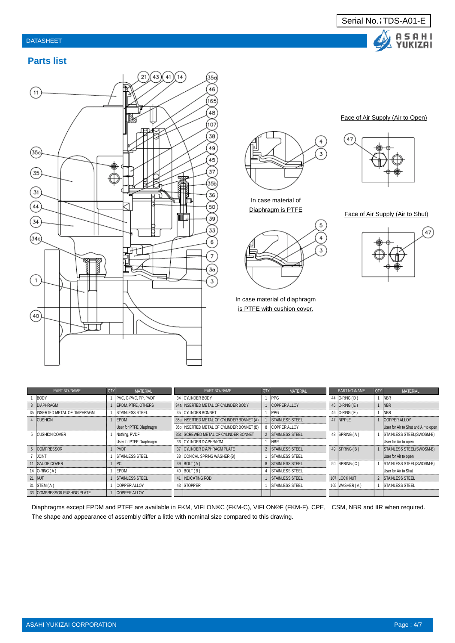### DATASHEET



## **Parts list**



3

In case material of Diaphragm is PTFE



In case material of diaphragm is PTFE with cushion cover.

#### Face of Air Supply (Air to Open)



Face of Air Supply (Air to Shut)



| PART NO./NAME                  | <b>QTY</b> | MATERIAL                       | PART NO./NAME                             | I QTY | MATERIAL                | PART NO./NAME        | ⊩QTYI | MATERIAL                             |
|--------------------------------|------------|--------------------------------|-------------------------------------------|-------|-------------------------|----------------------|-------|--------------------------------------|
| <b>BODY</b>                    |            | IPVC, C-PVC, PP, PVDF          | 34 CYLINDER BODY                          |       | <b>IPPG</b>             | 44 <b>O-RING</b> (D) |       | <b>INBR</b>                          |
| 3 DIAPHRAGM                    |            | EPDM. PTFE. OTHERS             | 34a INSERTED METAL OF CYLINDER BODY       |       | <b>COPPER ALLOY</b>     | 45   O-RING (E)      |       | <b>INBR</b>                          |
| 3a INSERTED METAL OF DIAPHRAGM |            | <b>STAINLESS STEEL</b>         | 35 CYLINDER BONNET                        |       | IPPG                    | 46 O-RING (F)        |       | <b>NBR</b>                           |
| 4 CUSHION                      |            | EPDM                           | 35a INSERTED METAL OF CYLINDER BONNET (A) |       | <b>STAINLESS STEEL</b>  | 47 NPPLE             |       | <b>COPPER ALLOY</b>                  |
|                                |            | User for PTFE Diaphragm        | 35b INSERTED METAL OF CYLINDER BONNET (B) |       | <b>COPPER ALLOY</b>     |                      |       | User for Air to Shut and Air to open |
| 5 <b>CUSHION COVER</b>         |            | Nothing, PVDF                  | 35c SCREWED METAL OF CYLINDER BONNET      |       | 2 ISTAINLESS STEEL      | 48 SPRING (A)        |       | <b>STAINLESS STEEL(SWOSM-B)</b>      |
|                                |            | User for PTFE Diaphragm        | 36 CYLINDER DIAPHRAGM                     |       | <b>NBR</b>              |                      |       | User for Air to open                 |
| 6 COMPRESSOR                   |            | PVDF                           | 37 CYLINDER DIAPHRAGM PLATE               |       | 2 STAINLESS STEEL       | 49 SPRING (B)        |       | STAINLESS STEEL(SWOSM-B)             |
| <b>JONT</b>                    |            | <b>STAINLESS STEEL</b>         | 38 CONICAL SPRING WASHER (B)              |       | <b>ISTAINLESS STEEL</b> |                      |       | User for Air to open                 |
| 11 GAUGE COVER                 |            | <b>IPC</b>                     | 39 $ BOLT(A) $                            |       | 8 STAINLESS STEEL       | 50 SPRING (C)        |       | STAINLESS STEEL(SWOSM-B)             |
| 14   O-RING (A)                |            | <b>EPDM</b>                    | 40 $ BOLT(B) $                            |       | <b>ISTAINLESS STEEL</b> |                      |       | User for Air to Shut                 |
| 21 NUT                         |            | <b><i>ISTAINLESS STEEL</i></b> | 41 INDICATING ROD                         |       | <b>STAINLESS STEEL</b>  | 107 LOCK NUT         |       | 2 STAINLESS STEEL                    |
| 31 $ STEM(A) $                 |            | <b>COPPER ALLOY</b>            | 43 STOPPER                                |       | <b>STAINLESS STEEL</b>  | 165 WASHER (A)       |       | <b>STAINLESS STEEL</b>               |
| 33 COMPRESSOR PUSHING PLATE    |            | <b>COPPER ALLOY</b>            |                                           |       |                         |                      |       |                                      |

Diaphragms except EPDM and PTFE are available in FKM, VIFLON®C (FKM-C), VIFLON®F (FKM-F), CPE, CSM, NBR and IIR when required. The shape and appearance of assembly differ a little with nominal size compared to this drawing.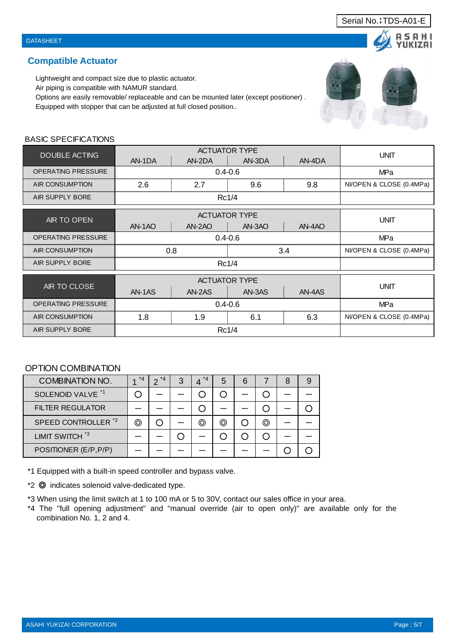# **Compatible Actuator**

Lightweight and compact size due to plastic actuator.

Air piping is compatible with NAMUR standard.

Options are easily removable/ replaceable and can be mounted later (except positioner) .

Equipped with stopper that can be adjusted at full closed position..

# BASIC SPECIFICATIONS

| <b>DOUBLE ACTING</b>      |        |             | <b>ACTUATOR TYPE</b> |        | <b>UNIT</b>              |
|---------------------------|--------|-------------|----------------------|--------|--------------------------|
|                           | AN-1DA | AN-2DA      | AN-3DA               | AN-4DA |                          |
| <b>OPERATING PRESSURE</b> |        |             | $0.4 - 0.6$          |        | MPa                      |
| AIR CONSUMPTION           | 2.6    | 2.7         | 9.6                  | 9.8    | NI/OPEN & CLOSE (0.4MPa) |
| AIR SUPPLY BORE           |        |             | Rc1/4                |        |                          |
|                           |        |             | <b>ACTUATOR TYPE</b> |        |                          |
| AIR TO OPEN               | AN-1AO | AN-2AO      | AN-3AO               | AN-4AO | <b>UNIT</b>              |
| <b>OPERATING PRESSURE</b> |        | MPa         |                      |        |                          |
| <b>AIR CONSUMPTION</b>    |        | 0.8         | 3.4                  |        | NI/OPEN & CLOSE (0.4MPa) |
| AIR SUPPLY BORE           |        |             | Rc1/4                |        |                          |
|                           |        |             | <b>ACTUATOR TYPE</b> |        |                          |
| AIR TO CLOSE              | AN-1AS | AN-2AS      | AN-3AS               | AN-4AS | <b>UNIT</b>              |
| <b>OPERATING PRESSURE</b> |        | $0.4 - 0.6$ |                      | MPa    |                          |
| AIR CONSUMPTION           | 1.8    | 1.9         | 6.1                  | 6.3    | NI/OPEN & CLOSE (0.4MPa) |
| AIR SUPPLY BORE           |        |             | Rc1/4                |        |                          |

# OPTION COMBINATION

| <b>COMBINATION NO.</b>         | $*_{4}$ | $^{\star}$ $\Delta$<br>n | З | $*_{4}$ | 5 | 6 |     | 8 |  |
|--------------------------------|---------|--------------------------|---|---------|---|---|-----|---|--|
| SOLENOID VALVE <sup>*1</sup>   |         |                          |   |         |   |   |     |   |  |
| <b>FILTER REGULATOR</b>        |         |                          |   |         |   |   |     |   |  |
| SPEED CONTROLLER <sup>*2</sup> | ◎       |                          |   | (O)     | ⊚ |   | (O) |   |  |
| LIMIT SWITCH <sup>*3</sup>     |         |                          |   |         |   |   |     |   |  |
| POSITIONER (E/P, P/P)          |         |                          |   |         |   |   |     |   |  |

\*1 Equipped with a built-in speed controller and bypass valve.

\*2 ◎ indicates solenoid valve-dedicated type.

\*3 When using the limit switch at 1 to 100 mA or 5 to 30V, contact our sales office in your area.

\*4 The "full opening adjustment" and "manual override (air to open only)" are available only for the combination No. 1, 2 and 4.



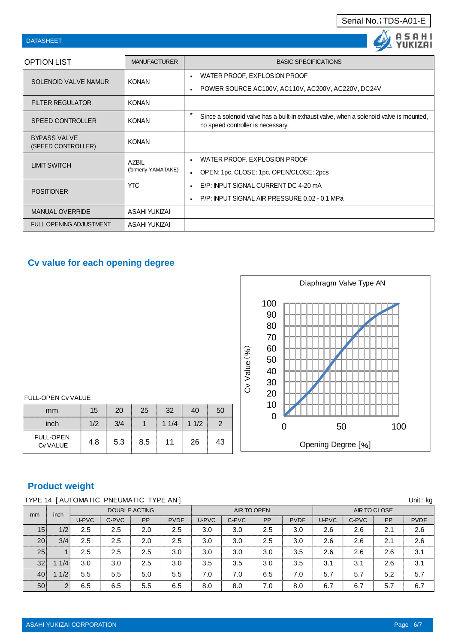### Serial No.;TDS-A01-E

| <b>DATASHEET</b>                          |                      |                                                                                                                             |
|-------------------------------------------|----------------------|-----------------------------------------------------------------------------------------------------------------------------|
| <b>OPTION LIST</b>                        | <b>MANUFACTURER</b>  | <b>BASIC SPECIFICATIONS</b>                                                                                                 |
| <b>SOLENOID VALVE NAMUR</b>               | <b>KONAN</b>         | WATER PROOF, EXPLOSION PROOF<br>$\blacksquare$                                                                              |
|                                           |                      | POWER SOURCE AC100V, AC110V, AC200V, AC220V, DC24V                                                                          |
| <b>FILTER REGULATOR</b>                   | <b>KONAN</b>         |                                                                                                                             |
| <b>SPEED CONTROLLER</b>                   | <b>KONAN</b>         | Since a solenoid valve has a built-in exhaust valve, when a solenoid valve is mounted,<br>no speed controller is necessary. |
| <b>BYPASS VALVE</b><br>(SPEED CONTROLLER) | <b>KONAN</b>         |                                                                                                                             |
| <b>LIMIT SWITCH</b>                       | <b>AZBIL</b>         | WATER PROOF, EXPLOSION PROOF                                                                                                |
|                                           | (formerly YAMATAKE)  | OPEN: 1pc, CLOSE: 1pc, OPEN/CLOSE: 2pcs                                                                                     |
| <b>POSITIONER</b>                         | <b>YTC</b>           | E/P: INPUT SIGNAL CURRENT DC 4-20 mA                                                                                        |
|                                           |                      | P/P: INPUT SIGNAL AIR PRESSURE 0.02 - 0.1 MPa                                                                               |
| <b>MANUAL OVERRIDE</b>                    | ASAHI YUKIZAI        |                                                                                                                             |
| <b>FULL OPENING ADJUSTMENT</b>            | <b>ASAHI YUKIZAI</b> |                                                                                                                             |

# **Cv value for each opening degree**



#### FULL-OPEN Cv VALUE

| mm                           | 15  | 20  | 25  | 32   | 40   | 50 |
|------------------------------|-----|-----|-----|------|------|----|
| inch                         | 1/2 | 3/4 |     | 11/4 | 11/2 | 2  |
| <b>FULL-OPEN</b><br>Cv VALUE | 4.8 | 5.3 | 8.5 | 11   | 26   | 43 |

# **Product weight**

## TYPE 14 [ AUTOMATIC PNEUMATIC TYPE AN ] Unit: kg

| mm | inch |       |       | <b>DOUBLE ACTING</b> |             |       |       | AIR TO OPEN |             | AIR TO CLOSE |       |           |             |
|----|------|-------|-------|----------------------|-------------|-------|-------|-------------|-------------|--------------|-------|-----------|-------------|
|    |      | U-PVC | C-PVC | PP                   | <b>PVDF</b> | U-PVC | C-PVC | PP          | <b>PVDF</b> | U-PVC        | C-PVC | <b>PP</b> | <b>PVDF</b> |
| 15 | 1/2  | 2.5   | 2.5   | 2.0                  | 2.5         | 3.0   | 3.0   | 2.5         | 3.0         | 2.6          | 2.6   | 2.1       | 2.6         |
| 20 | 3/4  | 2.5   | 2.5   | 2.0                  | 2.5         | 3.0   | 3.0   | 2.5         | 3.0         | 2.6          | 2.6   | 2.1       | 2.6         |
| 25 |      | 2.5   | 2.5   | 2.5                  | 3.0         | 3.0   | 3.0   | 3.0         | 3.5         | 2.6          | 2.6   | 2.6       | 3.1         |
| 32 | 1/4  | 3.0   | 3.0   | 2.5                  | 3.0         | 3.5   | 3.5   | 3.0         | 3.5         | 3.1          | 3.1   | 2.6       | 3.1         |
| 40 | 11/2 | 5.5   | 5.5   | 5.0                  | 5.5         | 7.0   | 7.0   | 6.5         | 7.0         | 5.7          | 5.7   | 5.2       | 5.7         |
| 50 | 2    | 6.5   | 6.5   | 5.5                  | 6.5         | 8.0   | 8.0   | 7.0         | 8.0         | 6.7          | 6.7   | 5.7       | 6.7         |